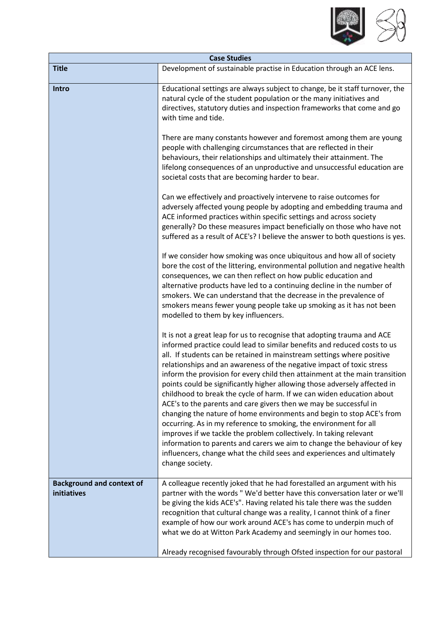

| <b>Case Studies</b>                             |                                                                                                                                                                                                                                                                                                                                                                                                                                                                                                                                                                                                                                                                                                                                                                                                                                                                                                                                                                                                              |  |
|-------------------------------------------------|--------------------------------------------------------------------------------------------------------------------------------------------------------------------------------------------------------------------------------------------------------------------------------------------------------------------------------------------------------------------------------------------------------------------------------------------------------------------------------------------------------------------------------------------------------------------------------------------------------------------------------------------------------------------------------------------------------------------------------------------------------------------------------------------------------------------------------------------------------------------------------------------------------------------------------------------------------------------------------------------------------------|--|
| <b>Title</b>                                    | Development of sustainable practise in Education through an ACE lens.                                                                                                                                                                                                                                                                                                                                                                                                                                                                                                                                                                                                                                                                                                                                                                                                                                                                                                                                        |  |
| Intro                                           | Educational settings are always subject to change, be it staff turnover, the<br>natural cycle of the student population or the many initiatives and<br>directives, statutory duties and inspection frameworks that come and go<br>with time and tide.                                                                                                                                                                                                                                                                                                                                                                                                                                                                                                                                                                                                                                                                                                                                                        |  |
|                                                 | There are many constants however and foremost among them are young<br>people with challenging circumstances that are reflected in their<br>behaviours, their relationships and ultimately their attainment. The<br>lifelong consequences of an unproductive and unsuccessful education are<br>societal costs that are becoming harder to bear.                                                                                                                                                                                                                                                                                                                                                                                                                                                                                                                                                                                                                                                               |  |
|                                                 | Can we effectively and proactively intervene to raise outcomes for<br>adversely affected young people by adopting and embedding trauma and<br>ACE informed practices within specific settings and across society<br>generally? Do these measures impact beneficially on those who have not<br>suffered as a result of ACE's? I believe the answer to both questions is yes.                                                                                                                                                                                                                                                                                                                                                                                                                                                                                                                                                                                                                                  |  |
|                                                 | If we consider how smoking was once ubiquitous and how all of society<br>bore the cost of the littering, environmental pollution and negative health<br>consequences, we can then reflect on how public education and<br>alternative products have led to a continuing decline in the number of<br>smokers. We can understand that the decrease in the prevalence of<br>smokers means fewer young people take up smoking as it has not been<br>modelled to them by key influencers.                                                                                                                                                                                                                                                                                                                                                                                                                                                                                                                          |  |
|                                                 | It is not a great leap for us to recognise that adopting trauma and ACE<br>informed practice could lead to similar benefits and reduced costs to us<br>all. If students can be retained in mainstream settings where positive<br>relationships and an awareness of the negative impact of toxic stress<br>inform the provision for every child then attainment at the main transition<br>points could be significantly higher allowing those adversely affected in<br>childhood to break the cycle of harm. If we can widen education about<br>ACE's to the parents and care givers then we may be successful in<br>changing the nature of home environments and begin to stop ACE's from<br>occurring. As in my reference to smoking, the environment for all<br>improves if we tackle the problem collectively. In taking relevant<br>information to parents and carers we aim to change the behaviour of key<br>influencers, change what the child sees and experiences and ultimately<br>change society. |  |
| <b>Background and context of</b><br>initiatives | A colleague recently joked that he had forestalled an argument with his<br>partner with the words "We'd better have this conversation later or we'll<br>be giving the kids ACE's". Having related his tale there was the sudden<br>recognition that cultural change was a reality, I cannot think of a finer<br>example of how our work around ACE's has come to underpin much of<br>what we do at Witton Park Academy and seemingly in our homes too.<br>Already recognised favourably through Ofsted inspection for our pastoral                                                                                                                                                                                                                                                                                                                                                                                                                                                                           |  |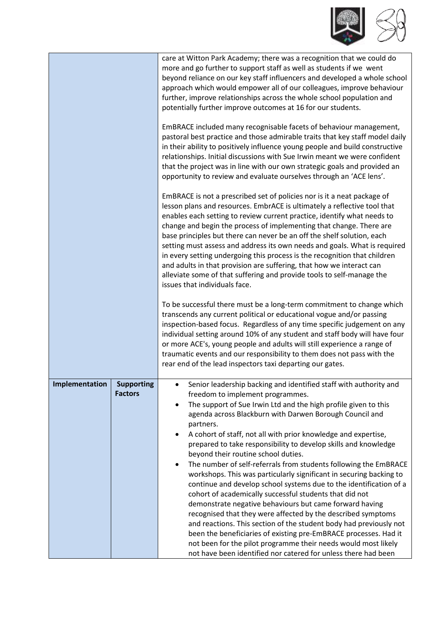

|                |                                     | care at Witton Park Academy; there was a recognition that we could do<br>more and go further to support staff as well as students if we went<br>beyond reliance on our key staff influencers and developed a whole school<br>approach which would empower all of our colleagues, improve behaviour<br>further, improve relationships across the whole school population and<br>potentially further improve outcomes at 16 for our students.                                                                                                                                                                                                                                                                                                                                                                                                                                                                                                                                                                                                                                                                                                                   |
|----------------|-------------------------------------|---------------------------------------------------------------------------------------------------------------------------------------------------------------------------------------------------------------------------------------------------------------------------------------------------------------------------------------------------------------------------------------------------------------------------------------------------------------------------------------------------------------------------------------------------------------------------------------------------------------------------------------------------------------------------------------------------------------------------------------------------------------------------------------------------------------------------------------------------------------------------------------------------------------------------------------------------------------------------------------------------------------------------------------------------------------------------------------------------------------------------------------------------------------|
|                |                                     | EmBRACE included many recognisable facets of behaviour management,<br>pastoral best practice and those admirable traits that key staff model daily<br>in their ability to positively influence young people and build constructive<br>relationships. Initial discussions with Sue Irwin meant we were confident<br>that the project was in line with our own strategic goals and provided an<br>opportunity to review and evaluate ourselves through an 'ACE lens'.                                                                                                                                                                                                                                                                                                                                                                                                                                                                                                                                                                                                                                                                                           |
|                |                                     | EmBRACE is not a prescribed set of policies nor is it a neat package of<br>lesson plans and resources. EmbrACE is ultimately a reflective tool that<br>enables each setting to review current practice, identify what needs to<br>change and begin the process of implementing that change. There are<br>base principles but there can never be an off the shelf solution, each<br>setting must assess and address its own needs and goals. What is required<br>in every setting undergoing this process is the recognition that children<br>and adults in that provision are suffering, that how we interact can<br>alleviate some of that suffering and provide tools to self-manage the<br>issues that individuals face.                                                                                                                                                                                                                                                                                                                                                                                                                                   |
|                |                                     | To be successful there must be a long-term commitment to change which<br>transcends any current political or educational vogue and/or passing<br>inspection-based focus. Regardless of any time specific judgement on any<br>individual setting around 10% of any student and staff body will have four<br>or more ACE's, young people and adults will still experience a range of<br>traumatic events and our responsibility to them does not pass with the<br>rear end of the lead inspectors taxi departing our gates.                                                                                                                                                                                                                                                                                                                                                                                                                                                                                                                                                                                                                                     |
| Implementation | <b>Supporting</b><br><b>Factors</b> | Senior leadership backing and identified staff with authority and<br>٠<br>freedom to implement programmes.<br>The support of Sue Irwin Ltd and the high profile given to this<br>$\bullet$<br>agenda across Blackburn with Darwen Borough Council and<br>partners.<br>A cohort of staff, not all with prior knowledge and expertise,<br>$\bullet$<br>prepared to take responsibility to develop skills and knowledge<br>beyond their routine school duties.<br>The number of self-referrals from students following the EmBRACE<br>$\bullet$<br>workshops. This was particularly significant in securing backing to<br>continue and develop school systems due to the identification of a<br>cohort of academically successful students that did not<br>demonstrate negative behaviours but came forward having<br>recognised that they were affected by the described symptoms<br>and reactions. This section of the student body had previously not<br>been the beneficiaries of existing pre-EmBRACE processes. Had it<br>not been for the pilot programme their needs would most likely<br>not have been identified nor catered for unless there had been |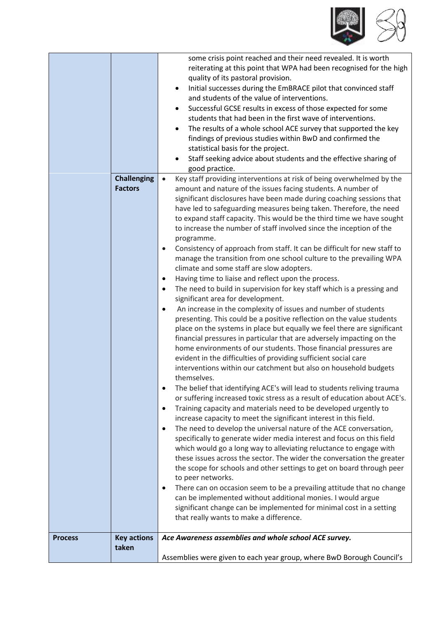

| <b>Challenging</b> | some crisis point reached and their need revealed. It is worth<br>reiterating at this point that WPA had been recognised for the high<br>quality of its pastoral provision.<br>Initial successes during the EmBRACE pilot that convinced staff<br>$\bullet$<br>and students of the value of interventions.<br>Successful GCSE results in excess of those expected for some<br>$\bullet$<br>students that had been in the first wave of interventions.<br>The results of a whole school ACE survey that supported the key<br>$\bullet$<br>findings of previous studies within BwD and confirmed the<br>statistical basis for the project.<br>Staff seeking advice about students and the effective sharing of<br>٠<br>good practice.<br>Key staff providing interventions at risk of being overwhelmed by the<br>amount and nature of the issues facing students. A number of                                                                                                                                                                                                                                                                                                                                                                                                                                                                                                                                                                                                                                                                                                                                                                                                                                                                                                                                                                                                                                                                                                                                                                                                                                                                                                                                        |
|--------------------|---------------------------------------------------------------------------------------------------------------------------------------------------------------------------------------------------------------------------------------------------------------------------------------------------------------------------------------------------------------------------------------------------------------------------------------------------------------------------------------------------------------------------------------------------------------------------------------------------------------------------------------------------------------------------------------------------------------------------------------------------------------------------------------------------------------------------------------------------------------------------------------------------------------------------------------------------------------------------------------------------------------------------------------------------------------------------------------------------------------------------------------------------------------------------------------------------------------------------------------------------------------------------------------------------------------------------------------------------------------------------------------------------------------------------------------------------------------------------------------------------------------------------------------------------------------------------------------------------------------------------------------------------------------------------------------------------------------------------------------------------------------------------------------------------------------------------------------------------------------------------------------------------------------------------------------------------------------------------------------------------------------------------------------------------------------------------------------------------------------------------------------------------------------------------------------------------------------------|
|                    | significant disclosures have been made during coaching sessions that<br>have led to safeguarding measures being taken. Therefore, the need<br>to expand staff capacity. This would be the third time we have sought<br>to increase the number of staff involved since the inception of the<br>programme.<br>Consistency of approach from staff. It can be difficult for new staff to<br>$\bullet$<br>manage the transition from one school culture to the prevailing WPA<br>climate and some staff are slow adopters.<br>Having time to liaise and reflect upon the process.<br>٠<br>The need to build in supervision for key staff which is a pressing and<br>$\bullet$<br>significant area for development.<br>An increase in the complexity of issues and number of students<br>$\bullet$<br>presenting. This could be a positive reflection on the value students<br>place on the systems in place but equally we feel there are significant<br>financial pressures in particular that are adversely impacting on the<br>home environments of our students. Those financial pressures are<br>evident in the difficulties of providing sufficient social care<br>interventions within our catchment but also on household budgets<br>themselves.<br>The belief that identifying ACE's will lead to students reliving trauma<br>$\bullet$<br>or suffering increased toxic stress as a result of education about ACE's.<br>Training capacity and materials need to be developed urgently to<br>$\bullet$<br>increase capacity to meet the significant interest in this field.<br>The need to develop the universal nature of the ACE conversation,<br>$\bullet$<br>specifically to generate wider media interest and focus on this field<br>which would go a long way to alleviating reluctance to engage with<br>these issues across the sector. The wider the conversation the greater<br>the scope for schools and other settings to get on board through peer<br>to peer networks.<br>There can on occasion seem to be a prevailing attitude that no change<br>$\bullet$<br>can be implemented without additional monies. I would argue<br>significant change can be implemented for minimal cost in a setting |
|                    | that really wants to make a difference.                                                                                                                                                                                                                                                                                                                                                                                                                                                                                                                                                                                                                                                                                                                                                                                                                                                                                                                                                                                                                                                                                                                                                                                                                                                                                                                                                                                                                                                                                                                                                                                                                                                                                                                                                                                                                                                                                                                                                                                                                                                                                                                                                                             |
| <b>Key actions</b> | Ace Awareness assemblies and whole school ACE survey.                                                                                                                                                                                                                                                                                                                                                                                                                                                                                                                                                                                                                                                                                                                                                                                                                                                                                                                                                                                                                                                                                                                                                                                                                                                                                                                                                                                                                                                                                                                                                                                                                                                                                                                                                                                                                                                                                                                                                                                                                                                                                                                                                               |
| taken              |                                                                                                                                                                                                                                                                                                                                                                                                                                                                                                                                                                                                                                                                                                                                                                                                                                                                                                                                                                                                                                                                                                                                                                                                                                                                                                                                                                                                                                                                                                                                                                                                                                                                                                                                                                                                                                                                                                                                                                                                                                                                                                                                                                                                                     |
|                    | Assemblies were given to each year group, where BwD Borough Council's                                                                                                                                                                                                                                                                                                                                                                                                                                                                                                                                                                                                                                                                                                                                                                                                                                                                                                                                                                                                                                                                                                                                                                                                                                                                                                                                                                                                                                                                                                                                                                                                                                                                                                                                                                                                                                                                                                                                                                                                                                                                                                                                               |
|                    | <b>Factors</b>                                                                                                                                                                                                                                                                                                                                                                                                                                                                                                                                                                                                                                                                                                                                                                                                                                                                                                                                                                                                                                                                                                                                                                                                                                                                                                                                                                                                                                                                                                                                                                                                                                                                                                                                                                                                                                                                                                                                                                                                                                                                                                                                                                                                      |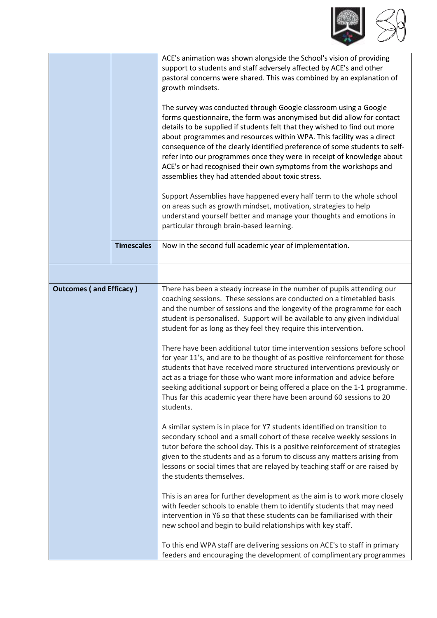

|                                |                   | ACE's animation was shown alongside the School's vision of providing<br>support to students and staff adversely affected by ACE's and other<br>pastoral concerns were shared. This was combined by an explanation of<br>growth mindsets.                                                                                                                                                                                                                                                                                                                                          |
|--------------------------------|-------------------|-----------------------------------------------------------------------------------------------------------------------------------------------------------------------------------------------------------------------------------------------------------------------------------------------------------------------------------------------------------------------------------------------------------------------------------------------------------------------------------------------------------------------------------------------------------------------------------|
|                                |                   | The survey was conducted through Google classroom using a Google<br>forms questionnaire, the form was anonymised but did allow for contact<br>details to be supplied if students felt that they wished to find out more<br>about programmes and resources within WPA. This facility was a direct<br>consequence of the clearly identified preference of some students to self-<br>refer into our programmes once they were in receipt of knowledge about<br>ACE's or had recognised their own symptoms from the workshops and<br>assemblies they had attended about toxic stress. |
|                                |                   | Support Assemblies have happened every half term to the whole school<br>on areas such as growth mindset, motivation, strategies to help<br>understand yourself better and manage your thoughts and emotions in<br>particular through brain-based learning.                                                                                                                                                                                                                                                                                                                        |
|                                | <b>Timescales</b> | Now in the second full academic year of implementation.                                                                                                                                                                                                                                                                                                                                                                                                                                                                                                                           |
|                                |                   |                                                                                                                                                                                                                                                                                                                                                                                                                                                                                                                                                                                   |
| <b>Outcomes (and Efficacy)</b> |                   | There has been a steady increase in the number of pupils attending our<br>coaching sessions. These sessions are conducted on a timetabled basis<br>and the number of sessions and the longevity of the programme for each<br>student is personalised. Support will be available to any given individual<br>student for as long as they feel they require this intervention.                                                                                                                                                                                                       |
|                                |                   | There have been additional tutor time intervention sessions before school<br>for year 11's, and are to be thought of as positive reinforcement for those<br>students that have received more structured interventions previously or<br>act as a triage for those who want more information and advice before<br>seeking additional support or being offered a place on the 1-1 programme.<br>Thus far this academic year there have been around 60 sessions to 20<br>students.                                                                                                    |
|                                |                   | A similar system is in place for Y7 students identified on transition to<br>secondary school and a small cohort of these receive weekly sessions in<br>tutor before the school day. This is a positive reinforcement of strategies<br>given to the students and as a forum to discuss any matters arising from<br>lessons or social times that are relayed by teaching staff or are raised by<br>the students themselves.                                                                                                                                                         |
|                                |                   | This is an area for further development as the aim is to work more closely<br>with feeder schools to enable them to identify students that may need<br>intervention in Y6 so that these students can be familiarised with their<br>new school and begin to build relationships with key staff.                                                                                                                                                                                                                                                                                    |
|                                |                   | To this end WPA staff are delivering sessions on ACE's to staff in primary<br>feeders and encouraging the development of complimentary programmes                                                                                                                                                                                                                                                                                                                                                                                                                                 |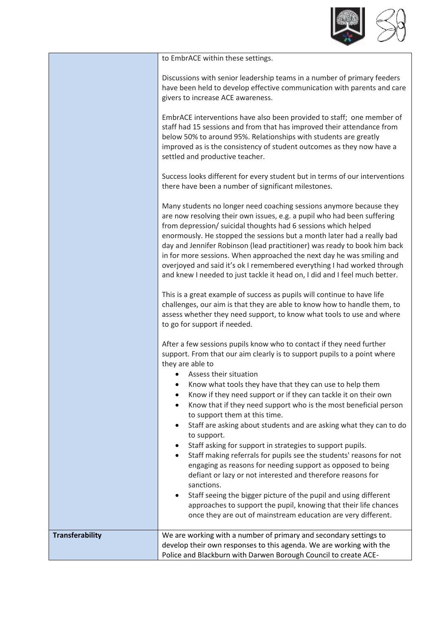

|                        | to EmbrACE within these settings.                                                                                                                                                                                                                                                                                                                                                                                                                                                                                                                                                                                                                                                                                                                                                                                                             |
|------------------------|-----------------------------------------------------------------------------------------------------------------------------------------------------------------------------------------------------------------------------------------------------------------------------------------------------------------------------------------------------------------------------------------------------------------------------------------------------------------------------------------------------------------------------------------------------------------------------------------------------------------------------------------------------------------------------------------------------------------------------------------------------------------------------------------------------------------------------------------------|
|                        | Discussions with senior leadership teams in a number of primary feeders<br>have been held to develop effective communication with parents and care<br>givers to increase ACE awareness.                                                                                                                                                                                                                                                                                                                                                                                                                                                                                                                                                                                                                                                       |
|                        | EmbrACE interventions have also been provided to staff; one member of<br>staff had 15 sessions and from that has improved their attendance from<br>below 50% to around 95%. Relationships with students are greatly<br>improved as is the consistency of student outcomes as they now have a<br>settled and productive teacher.                                                                                                                                                                                                                                                                                                                                                                                                                                                                                                               |
|                        | Success looks different for every student but in terms of our interventions<br>there have been a number of significant milestones.                                                                                                                                                                                                                                                                                                                                                                                                                                                                                                                                                                                                                                                                                                            |
|                        | Many students no longer need coaching sessions anymore because they<br>are now resolving their own issues, e.g. a pupil who had been suffering<br>from depression/ suicidal thoughts had 6 sessions which helped<br>enormously. He stopped the sessions but a month later had a really bad<br>day and Jennifer Robinson (lead practitioner) was ready to book him back<br>in for more sessions. When approached the next day he was smiling and<br>overjoyed and said it's ok I remembered everything I had worked through<br>and knew I needed to just tackle it head on, I did and I feel much better.                                                                                                                                                                                                                                      |
|                        | This is a great example of success as pupils will continue to have life<br>challenges, our aim is that they are able to know how to handle them, to<br>assess whether they need support, to know what tools to use and where<br>to go for support if needed.                                                                                                                                                                                                                                                                                                                                                                                                                                                                                                                                                                                  |
|                        | After a few sessions pupils know who to contact if they need further<br>support. From that our aim clearly is to support pupils to a point where<br>they are able to<br>• Assess their situation<br>Know what tools they have that they can use to help them<br>٠<br>Know if they need support or if they can tackle it on their own<br>Know that if they need support who is the most beneficial person<br>to support them at this time.<br>Staff are asking about students and are asking what they can to do<br>$\bullet$<br>to support.<br>Staff asking for support in strategies to support pupils.<br>٠<br>Staff making referrals for pupils see the students' reasons for not<br>$\bullet$<br>engaging as reasons for needing support as opposed to being<br>defiant or lazy or not interested and therefore reasons for<br>sanctions. |
|                        | Staff seeing the bigger picture of the pupil and using different<br>$\bullet$<br>approaches to support the pupil, knowing that their life chances<br>once they are out of mainstream education are very different.                                                                                                                                                                                                                                                                                                                                                                                                                                                                                                                                                                                                                            |
| <b>Transferability</b> | We are working with a number of primary and secondary settings to<br>develop their own responses to this agenda. We are working with the<br>Police and Blackburn with Darwen Borough Council to create ACE-                                                                                                                                                                                                                                                                                                                                                                                                                                                                                                                                                                                                                                   |